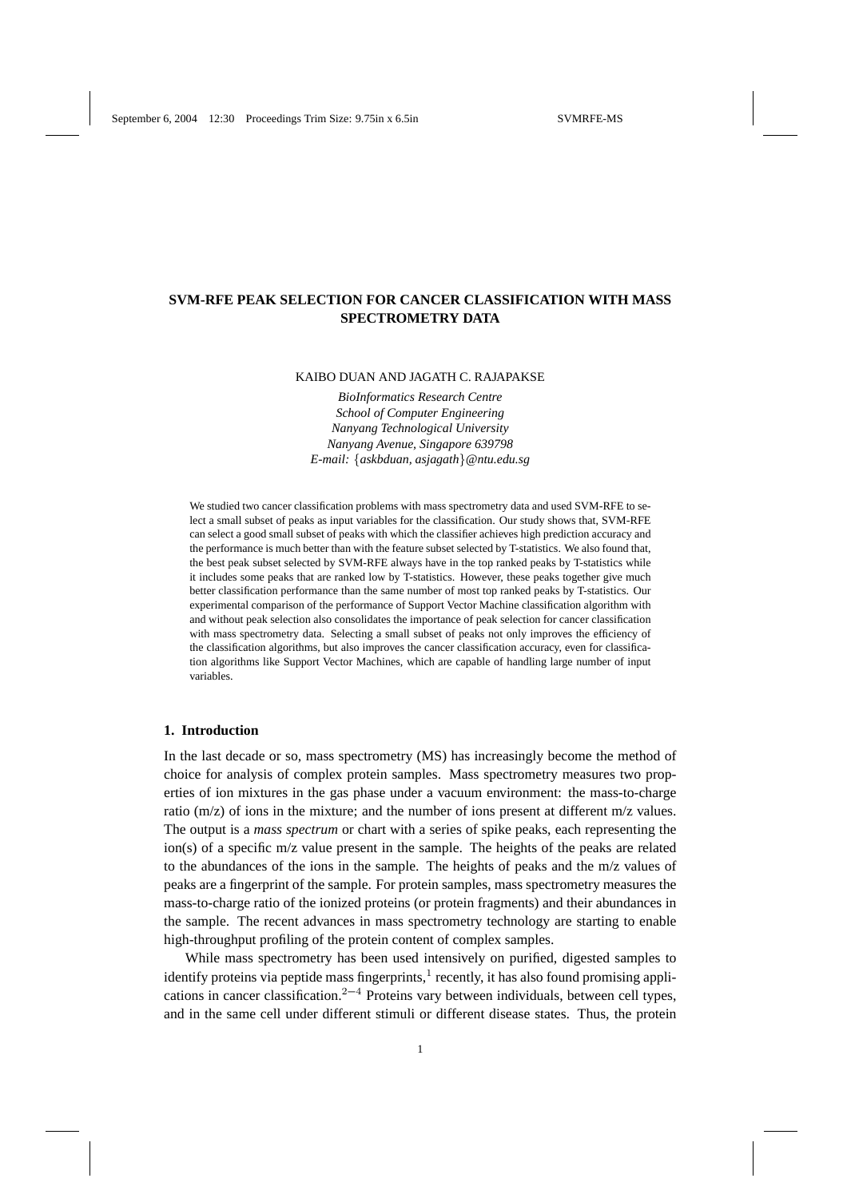# **SVM-RFE PEAK SELECTION FOR CANCER CLASSIFICATION WITH MASS SPECTROMETRY DATA**

#### KAIBO DUAN AND JAGATH C. RAJAPAKSE

*BioInformatics Research Centre School of Computer Engineering Nanyang Technological University Nanyang Avenue, Singapore 639798 E-mail:* {*askbduan, asjagath*}*@ntu.edu.sg*

We studied two cancer classification problems with mass spectrometry data and used SVM-RFE to select a small subset of peaks as input variables for the classification. Our study shows that, SVM-RFE can select a good small subset of peaks with which the classifier achieves high prediction accuracy and the performance is much better than with the feature subset selected by T-statistics. We also found that, the best peak subset selected by SVM-RFE always have in the top ranked peaks by T-statistics while it includes some peaks that are ranked low by T-statistics. However, these peaks together give much better classification performance than the same number of most top ranked peaks by T-statistics. Our experimental comparison of the performance of Support Vector Machine classification algorithm with and without peak selection also consolidates the importance of peak selection for cancer classification with mass spectrometry data. Selecting a small subset of peaks not only improves the efficiency of the classification algorithms, but also improves the cancer classification accuracy, even for classification algorithms like Support Vector Machines, which are capable of handling large number of input variables.

### **1. Introduction**

In the last decade or so, mass spectrometry (MS) has increasingly become the method of choice for analysis of complex protein samples. Mass spectrometry measures two properties of ion mixtures in the gas phase under a vacuum environment: the mass-to-charge ratio (m/z) of ions in the mixture; and the number of ions present at different m/z values. The output is a *mass spectrum* or chart with a series of spike peaks, each representing the ion(s) of a specific m/z value present in the sample. The heights of the peaks are related to the abundances of the ions in the sample. The heights of peaks and the m/z values of peaks are a fingerprint of the sample. For protein samples, mass spectrometry measures the mass-to-charge ratio of the ionized proteins (or protein fragments) and their abundances in the sample. The recent advances in mass spectrometry technology are starting to enable high-throughput profiling of the protein content of complex samples.

While mass spectrometry has been used intensively on purified, digested samples to identify proteins via peptide mass fingerprints, $<sup>1</sup>$  recently, it has also found promising appli-</sup> cations in cancer classification.<sup>2–4</sup> Proteins vary between individuals, between cell types, and in the same cell under different stimuli or different disease states. Thus, the protein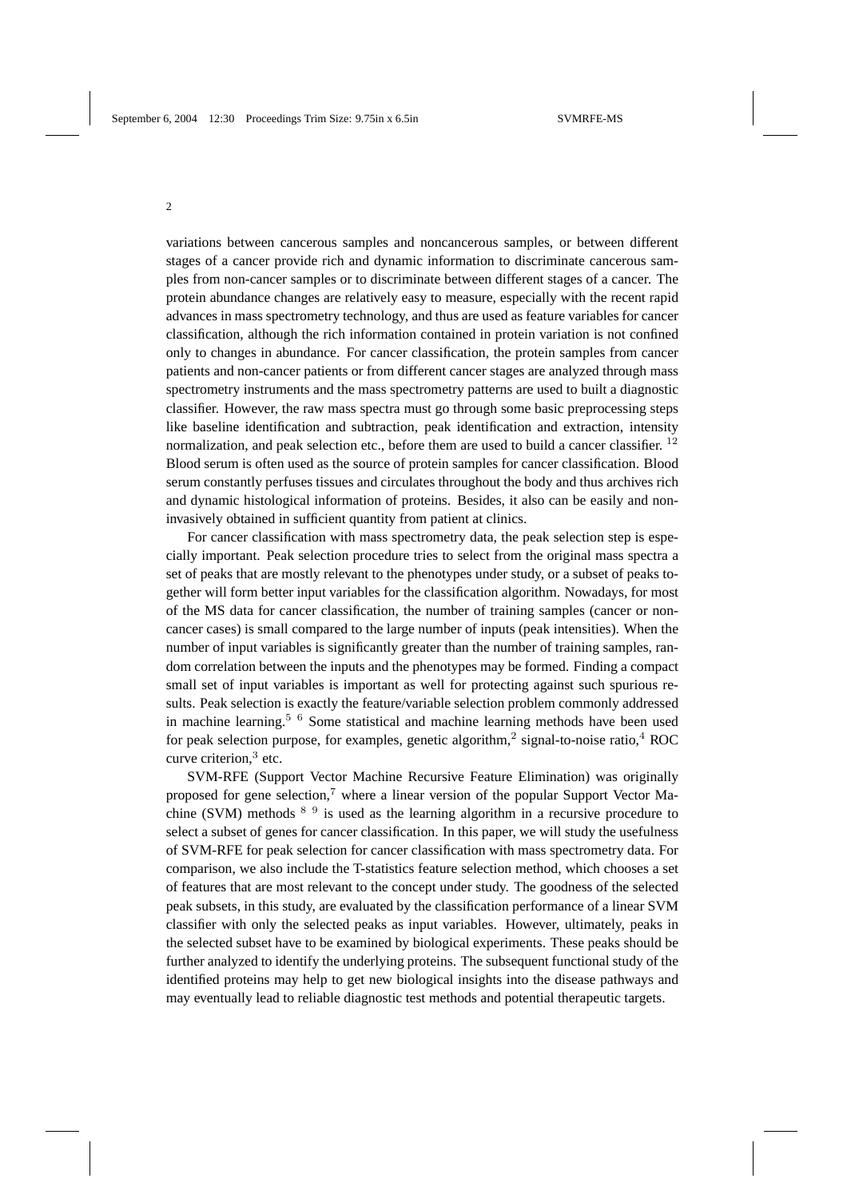variations between cancerous samples and noncancerous samples, or between different stages of a cancer provide rich and dynamic information to discriminate cancerous samples from non-cancer samples or to discriminate between different stages of a cancer. The protein abundance changes are relatively easy to measure, especially with the recent rapid advances in mass spectrometry technology, and thus are used as feature variables for cancer classification, although the rich information contained in protein variation is not confined only to changes in abundance. For cancer classification, the protein samples from cancer patients and non-cancer patients or from different cancer stages are analyzed through mass spectrometry instruments and the mass spectrometry patterns are used to built a diagnostic classifier. However, the raw mass spectra must go through some basic preprocessing steps like baseline identification and subtraction, peak identification and extraction, intensity normalization, and peak selection etc., before them are used to build a cancer classifier. <sup>12</sup> Blood serum is often used as the source of protein samples for cancer classification. Blood serum constantly perfuses tissues and circulates throughout the body and thus archives rich and dynamic histological information of proteins. Besides, it also can be easily and noninvasively obtained in sufficient quantity from patient at clinics.

For cancer classification with mass spectrometry data, the peak selection step is especially important. Peak selection procedure tries to select from the original mass spectra a set of peaks that are mostly relevant to the phenotypes under study, or a subset of peaks together will form better input variables for the classification algorithm. Nowadays, for most of the MS data for cancer classification, the number of training samples (cancer or noncancer cases) is small compared to the large number of inputs (peak intensities). When the number of input variables is significantly greater than the number of training samples, random correlation between the inputs and the phenotypes may be formed. Finding a compact small set of input variables is important as well for protecting against such spurious results. Peak selection is exactly the feature/variable selection problem commonly addressed in machine learning.5 6 Some statistical and machine learning methods have been used for peak selection purpose, for examples, genetic algorithm,<sup>2</sup> signal-to-noise ratio,<sup>4</sup> ROC curve criterion,<sup>3</sup> etc.

SVM-RFE (Support Vector Machine Recursive Feature Elimination) was originally proposed for gene selection,<sup>7</sup> where a linear version of the popular Support Vector Machine (SVM) methods <sup>8 9</sup> is used as the learning algorithm in a recursive procedure to select a subset of genes for cancer classification. In this paper, we will study the usefulness of SVM-RFE for peak selection for cancer classification with mass spectrometry data. For comparison, we also include the T-statistics feature selection method, which chooses a set of features that are most relevant to the concept under study. The goodness of the selected peak subsets, in this study, are evaluated by the classification performance of a linear SVM classifier with only the selected peaks as input variables. However, ultimately, peaks in the selected subset have to be examined by biological experiments. These peaks should be further analyzed to identify the underlying proteins. The subsequent functional study of the identified proteins may help to get new biological insights into the disease pathways and may eventually lead to reliable diagnostic test methods and potential therapeutic targets.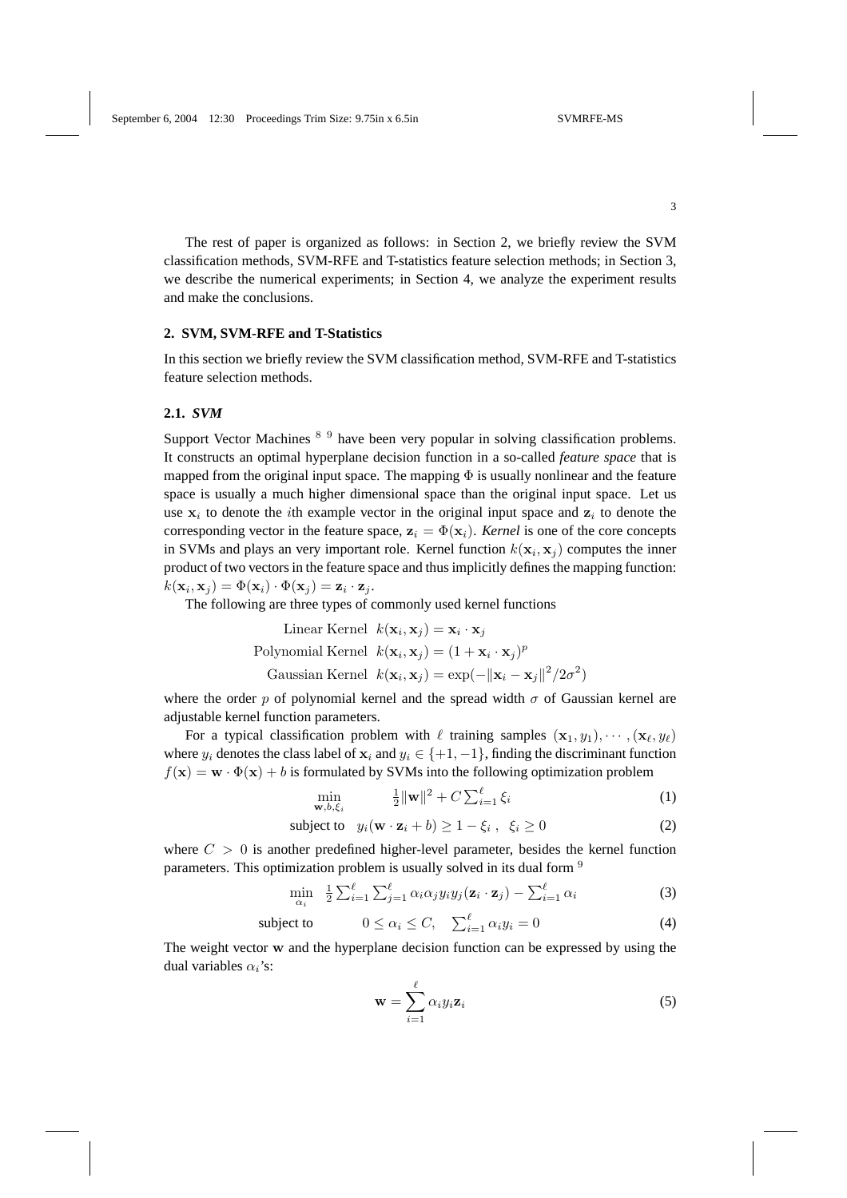The rest of paper is organized as follows: in Section 2, we briefly review the SVM classification methods, SVM-RFE and T-statistics feature selection methods; in Section 3, we describe the numerical experiments; in Section 4, we analyze the experiment results and make the conclusions.

# **2. SVM, SVM-RFE and T-Statistics**

In this section we briefly review the SVM classification method, SVM-RFE and T-statistics feature selection methods.

# **2.1.** *SVM*

Support Vector Machines <sup>8 9</sup> have been very popular in solving classification problems. It constructs an optimal hyperplane decision function in a so-called *feature space* that is mapped from the original input space. The mapping  $\Phi$  is usually nonlinear and the feature space is usually a much higher dimensional space than the original input space. Let us use  $x_i$  to denote the *i*th example vector in the original input space and  $z_i$  to denote the corresponding vector in the feature space,  $z_i = \Phi(\mathbf{x}_i)$ . *Kernel* is one of the core concepts in SVMs and plays an very important role. Kernel function  $k(\mathbf{x}_i, \mathbf{x}_j)$  computes the inner product of two vectors in the feature space and thus implicitly defines the mapping function:  $k(\mathbf{x}_i, \mathbf{x}_j) = \Phi(\mathbf{x}_i) \cdot \Phi(\mathbf{x}_j) = \mathbf{z}_i \cdot \mathbf{z}_j.$ 

The following are three types of commonly used kernel functions

Linear Kernel 
$$
k(\mathbf{x}_i, \mathbf{x}_j) = \mathbf{x}_i \cdot \mathbf{x}_j
$$
  
Polynomial Kernel  $k(\mathbf{x}_i, \mathbf{x}_j) = (1 + \mathbf{x}_i \cdot \mathbf{x}_j)^p$   
Gaussian Kernel  $k(\mathbf{x}_i, \mathbf{x}_j) = \exp(-\|\mathbf{x}_i - \mathbf{x}_j\|^2 / 2\sigma^2)$ 

where the order p of polynomial kernel and the spread width  $\sigma$  of Gaussian kernel are adjustable kernel function parameters.

For a typical classification problem with  $\ell$  training samples  $(\mathbf{x}_1, y_1), \cdots, (\mathbf{x}_\ell, y_\ell)$ where  $y_i$  denotes the class label of  $x_i$  and  $y_i \in \{+1, -1\}$ , finding the discriminant function  $f(\mathbf{x}) = \mathbf{w} \cdot \Phi(\mathbf{x}) + b$  is formulated by SVMs into the following optimization problem

$$
\min_{\mathbf{w}, b, \xi_i} \qquad \frac{1}{2} ||\mathbf{w}||^2 + C \sum_{i=1}^{\ell} \xi_i
$$
 (1)

subject to 
$$
y_i(\mathbf{w} \cdot \mathbf{z}_i + b) \ge 1 - \xi_i, \ \xi_i \ge 0
$$
 (2)

where  $C > 0$  is another predefined higher-level parameter, besides the kernel function parameters. This optimization problem is usually solved in its dual form <sup>9</sup>

$$
\min_{\alpha_i} \quad \frac{1}{2} \sum_{i=1}^{\ell} \sum_{j=1}^{\ell} \alpha_i \alpha_j y_i y_j (\mathbf{z}_i \cdot \mathbf{z}_j) - \sum_{i=1}^{\ell} \alpha_i \tag{3}
$$

subject to 
$$
0 \le \alpha_i \le C, \quad \sum_{i=1}^{\ell} \alpha_i y_i = 0
$$
 (4)

The weight vector w and the hyperplane decision function can be expressed by using the dual variables  $\alpha_i$ 's:

$$
\mathbf{w} = \sum_{i=1}^{\ell} \alpha_i y_i \mathbf{z}_i \tag{5}
$$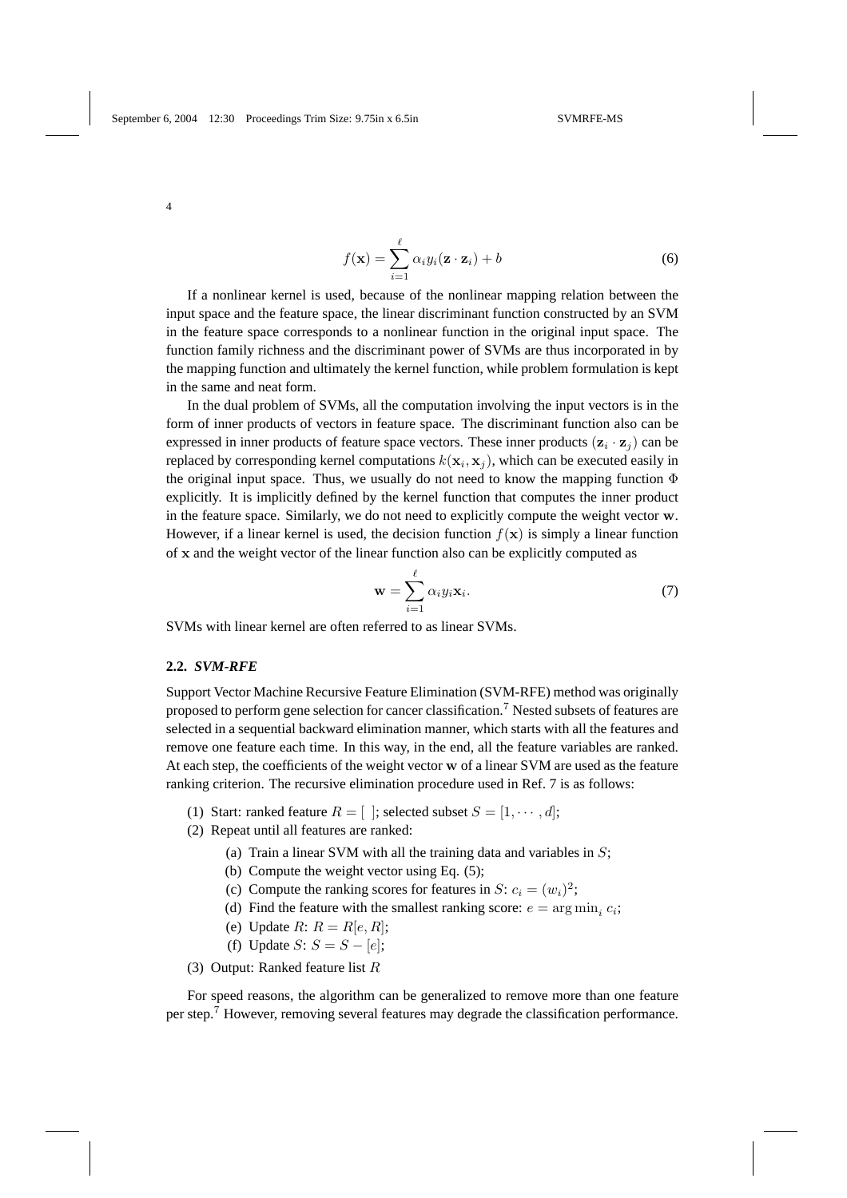$$
f(\mathbf{x}) = \sum_{i=1}^{\ell} \alpha_i y_i (\mathbf{z} \cdot \mathbf{z}_i) + b \tag{6}
$$

If a nonlinear kernel is used, because of the nonlinear mapping relation between the input space and the feature space, the linear discriminant function constructed by an SVM in the feature space corresponds to a nonlinear function in the original input space. The function family richness and the discriminant power of SVMs are thus incorporated in by the mapping function and ultimately the kernel function, while problem formulation is kept in the same and neat form.

In the dual problem of SVMs, all the computation involving the input vectors is in the form of inner products of vectors in feature space. The discriminant function also can be expressed in inner products of feature space vectors. These inner products  $(\mathbf{z}_i \cdot \mathbf{z}_j)$  can be replaced by corresponding kernel computations  $k(\mathbf{x}_i, \mathbf{x}_j)$ , which can be executed easily in the original input space. Thus, we usually do not need to know the mapping function  $\Phi$ explicitly. It is implicitly defined by the kernel function that computes the inner product in the feature space. Similarly, we do not need to explicitly compute the weight vector w. However, if a linear kernel is used, the decision function  $f(\mathbf{x})$  is simply a linear function of x and the weight vector of the linear function also can be explicitly computed as

$$
\mathbf{w} = \sum_{i=1}^{\ell} \alpha_i y_i \mathbf{x}_i.
$$
 (7)

SVMs with linear kernel are often referred to as linear SVMs.

#### **2.2.** *SVM-RFE*

Support Vector Machine Recursive Feature Elimination (SVM-RFE) method was originally proposed to perform gene selection for cancer classification.<sup>7</sup> Nested subsets of features are selected in a sequential backward elimination manner, which starts with all the features and remove one feature each time. In this way, in the end, all the feature variables are ranked. At each step, the coefficients of the weight vector w of a linear SVM are used as the feature ranking criterion. The recursive elimination procedure used in Ref. 7 is as follows:

- (1) Start: ranked feature  $R = [$  ; selected subset  $S = [1, \dots, d]$ ;
- (2) Repeat until all features are ranked:
	- (a) Train a linear SVM with all the training data and variables in  $S$ ;
	- (b) Compute the weight vector using Eq. (5);
	- (c) Compute the ranking scores for features in S:  $c_i = (w_i)^2$ ;
	- (d) Find the feature with the smallest ranking score:  $e = \arg \min_i c_i$ ;
	- (e) Update  $R: R = R[e, R]$ ;
	- (f) Update  $S: S = S [e];$
- (3) Output: Ranked feature list  $R$

For speed reasons, the algorithm can be generalized to remove more than one feature per step.<sup>7</sup> However, removing several features may degrade the classification performance.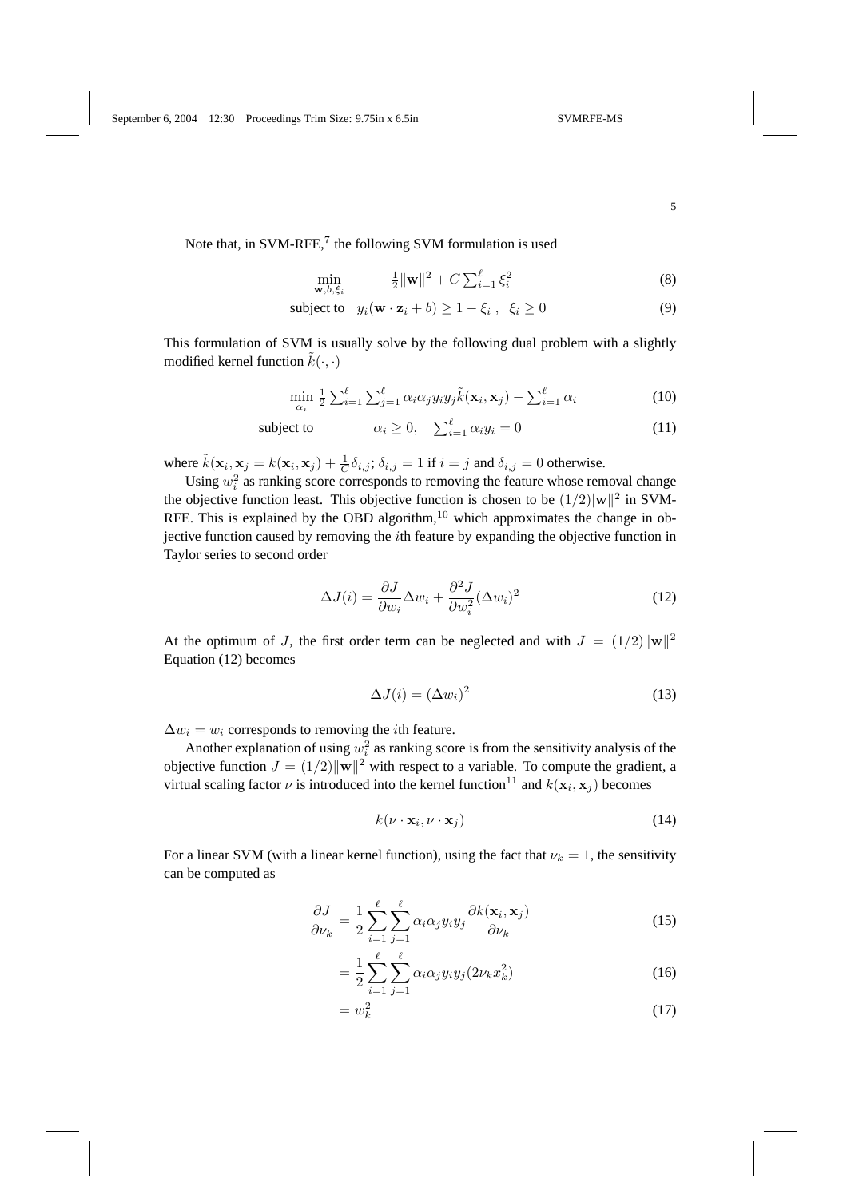Note that, in SVM-RFE,<sup>7</sup> the following SVM formulation is used

$$
\min_{\mathbf{w}, b, \xi_i} \qquad \frac{1}{2} \|\mathbf{w}\|^2 + C \sum_{i=1}^{\ell} \xi_i^2 \tag{8}
$$

subject to 
$$
y_i(\mathbf{w} \cdot \mathbf{z}_i + b) \ge 1 - \xi_i, \ \xi_i \ge 0
$$
 (9)

This formulation of SVM is usually solve by the following dual problem with a slightly modified kernel function  $\tilde{k}(\cdot, \cdot)$ 

$$
\min_{\alpha_i} \frac{1}{2} \sum_{i=1}^{\ell} \sum_{j=1}^{\ell} \alpha_i \alpha_j y_i y_j \tilde{k}(\mathbf{x}_i, \mathbf{x}_j) - \sum_{i=1}^{\ell} \alpha_i
$$
 (10)

subject to  $\alpha_i \ge 0$ ,  $\sum_{i=1}^{\ell} \alpha_i y_i = 0$  (11)

where  $\tilde{k}(\mathbf{x}_i, \mathbf{x}_j = k(\mathbf{x}_i, \mathbf{x}_j) + \frac{1}{C} \delta_{i,j}; \delta_{i,j} = 1$  if  $i = j$  and  $\delta_{i,j} = 0$  otherwise.

Using  $w_i^2$  as ranking score corresponds to removing the feature whose removal change the objective function least. This objective function is chosen to be  $(1/2)|w||^2$  in SVM-RFE. This is explained by the OBD algorithm, $10$  which approximates the change in objective function caused by removing the ith feature by expanding the objective function in Taylor series to second order

$$
\Delta J(i) = \frac{\partial J}{\partial w_i} \Delta w_i + \frac{\partial^2 J}{\partial w_i^2} (\Delta w_i)^2
$$
\n(12)

At the optimum of J, the first order term can be neglected and with  $J = (1/2) ||\mathbf{w}||^2$ Equation (12) becomes

$$
\Delta J(i) = (\Delta w_i)^2 \tag{13}
$$

 $\Delta w_i = w_i$  corresponds to removing the *i*th feature.

Another explanation of using  $w_i^2$  as ranking score is from the sensitivity analysis of the objective function  $J = (1/2) ||\mathbf{w}||^2$  with respect to a variable. To compute the gradient, a virtual scaling factor  $\nu$  is introduced into the kernel function<sup>11</sup> and  $k(\mathbf{x}_i, \mathbf{x}_j)$  becomes

$$
k(\nu \cdot \mathbf{x}_i, \nu \cdot \mathbf{x}_j) \tag{14}
$$

For a linear SVM (with a linear kernel function), using the fact that  $\nu_k = 1$ , the sensitivity can be computed as

$$
\frac{\partial J}{\partial \nu_k} = \frac{1}{2} \sum_{i=1}^{\ell} \sum_{j=1}^{\ell} \alpha_i \alpha_j y_i y_j \frac{\partial k(\mathbf{x}_i, \mathbf{x}_j)}{\partial \nu_k}
$$
(15)

$$
=\frac{1}{2}\sum_{i=1}^{\ell}\sum_{j=1}^{\ell}\alpha_i\alpha_jy_iy_j(2\nu_kx_k^2)
$$
\n(16)

$$
=w_k^2\tag{17}
$$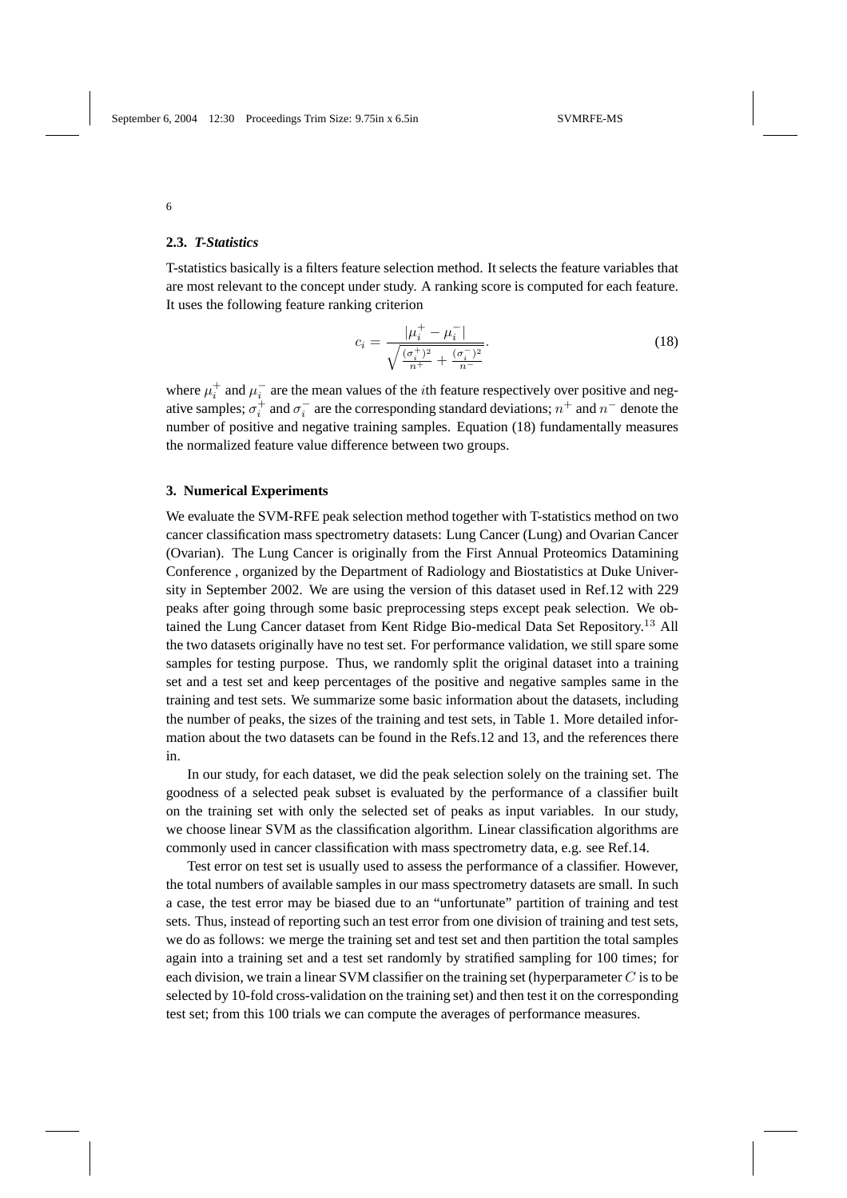# **2.3.** *T-Statistics*

T-statistics basically is a filters feature selection method. It selects the feature variables that are most relevant to the concept under study. A ranking score is computed for each feature. It uses the following feature ranking criterion

$$
c_i = \frac{|\mu_i^+ - \mu_i^-|}{\sqrt{\frac{(\sigma_i^+)^2}{n^+} + \frac{(\sigma_i^-)^2}{n^-}}}.
$$
\n(18)

where  $\mu_i^+$  and  $\mu_i^-$  are the mean values of the *i*th feature respectively over positive and negative samples;  $\sigma_i^+$  and  $\sigma_i^-$  are the corresponding standard deviations;  $n^+$  and  $n^-$  denote the number of positive and negative training samples. Equation (18) fundamentally measures the normalized feature value difference between two groups.

## **3. Numerical Experiments**

We evaluate the SVM-RFE peak selection method together with T-statistics method on two cancer classification mass spectrometry datasets: Lung Cancer (Lung) and Ovarian Cancer (Ovarian). The Lung Cancer is originally from the First Annual Proteomics Datamining Conference , organized by the Department of Radiology and Biostatistics at Duke University in September 2002. We are using the version of this dataset used in Ref.12 with 229 peaks after going through some basic preprocessing steps except peak selection. We obtained the Lung Cancer dataset from Kent Ridge Bio-medical Data Set Repository.<sup>13</sup> All the two datasets originally have no test set. For performance validation, we still spare some samples for testing purpose. Thus, we randomly split the original dataset into a training set and a test set and keep percentages of the positive and negative samples same in the training and test sets. We summarize some basic information about the datasets, including the number of peaks, the sizes of the training and test sets, in Table 1. More detailed information about the two datasets can be found in the Refs.12 and 13, and the references there in.

In our study, for each dataset, we did the peak selection solely on the training set. The goodness of a selected peak subset is evaluated by the performance of a classifier built on the training set with only the selected set of peaks as input variables. In our study, we choose linear SVM as the classification algorithm. Linear classification algorithms are commonly used in cancer classification with mass spectrometry data, e.g. see Ref.14.

Test error on test set is usually used to assess the performance of a classifier. However, the total numbers of available samples in our mass spectrometry datasets are small. In such a case, the test error may be biased due to an "unfortunate" partition of training and test sets. Thus, instead of reporting such an test error from one division of training and test sets, we do as follows: we merge the training set and test set and then partition the total samples again into a training set and a test set randomly by stratified sampling for 100 times; for each division, we train a linear SVM classifier on the training set (hyperparameter  $C$  is to be selected by 10-fold cross-validation on the training set) and then test it on the corresponding test set; from this 100 trials we can compute the averages of performance measures.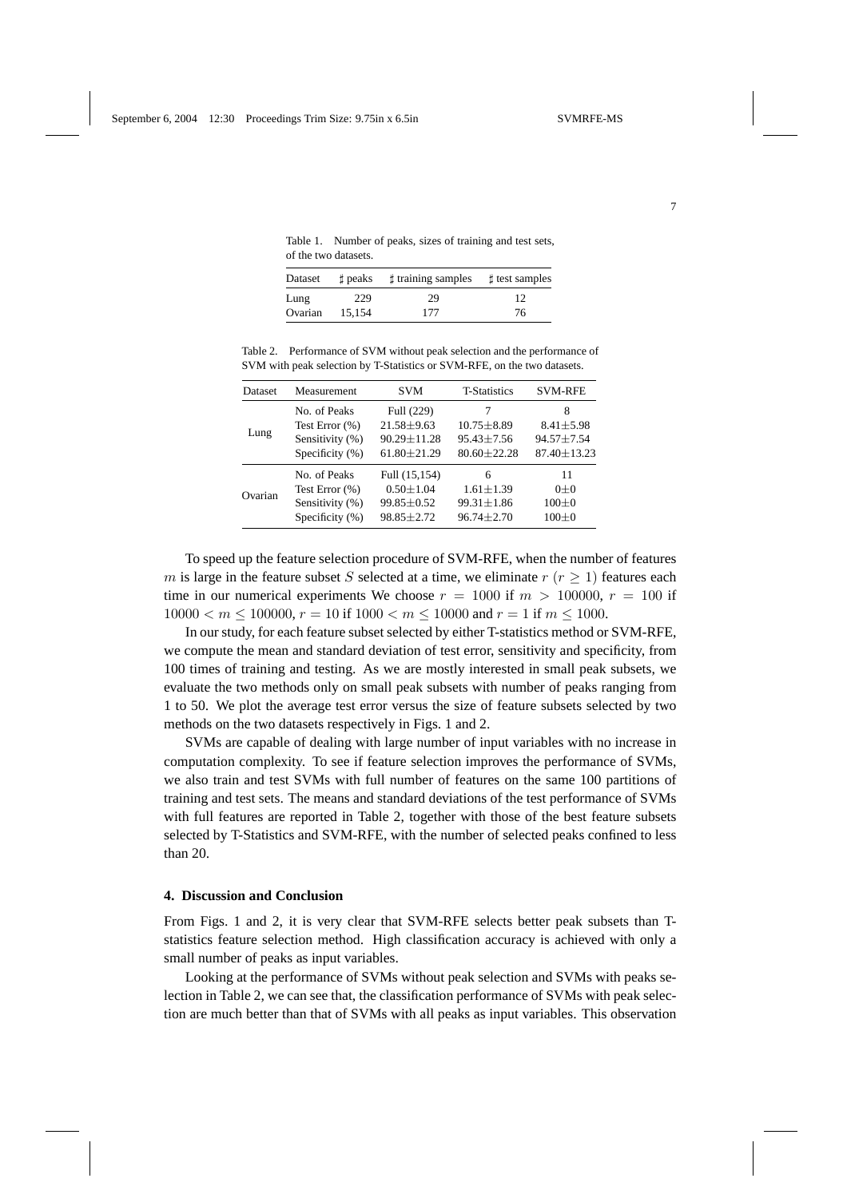Table 1. Number of peaks, sizes of training and test sets, of the two datasets.

| Dataset | t peaks | t training samples | $\sharp$ test samples |  |
|---------|---------|--------------------|-----------------------|--|
| Lung    | 229     | 29                 |                       |  |
| Ovarian | 15.154  | 177                | 76                    |  |

Table 2. Performance of SVM without peak selection and the performance of SVM with peak selection by T-Statistics or SVM-RFE, on the two datasets.

| Dataset | Measurement     | <b>SVM</b>        | <b>T-Statistics</b> | <b>SVM-RFE</b>    |
|---------|-----------------|-------------------|---------------------|-------------------|
| Lung    | No. of Peaks    | Full (229)        | 7                   | 8                 |
|         | Test Error (%)  | $21.58 + 9.63$    | $10.75 \pm 8.89$    | $8.41 \pm 5.98$   |
|         | Sensitivity (%) | $90.29 \pm 11.28$ | $95.43 \pm 7.56$    | $94.57 \pm 7.54$  |
|         | Specificity (%) | $61.80 \pm 21.29$ | $80.60 \pm 22.28$   | $87.40 \pm 13.23$ |
| Ovarian | No. of Peaks    | Full (15,154)     | 6                   | 11                |
|         | Test Error (%)  | $0.50 + 1.04$     | $1.61 \pm 1.39$     | $0+0$             |
|         | Sensitivity (%) | $99.85 + 0.52$    | $99.31 \pm 1.86$    | $100+0$           |
|         | Specificity (%) | $98.85 \pm 2.72$  | $96.74 \pm 2.70$    | $100 \pm 0$       |

To speed up the feature selection procedure of SVM-RFE, when the number of features m is large in the feature subset S selected at a time, we eliminate  $r (r \geq 1)$  features each time in our numerical experiments We choose  $r = 1000$  if  $m > 100000$ ,  $r = 100$  if  $10000 < m \le 100000$ ,  $r = 10$  if  $1000 < m \le 10000$  and  $r = 1$  if  $m \le 1000$ .

In our study, for each feature subset selected by either T-statistics method or SVM-RFE, we compute the mean and standard deviation of test error, sensitivity and specificity, from 100 times of training and testing. As we are mostly interested in small peak subsets, we evaluate the two methods only on small peak subsets with number of peaks ranging from 1 to 50. We plot the average test error versus the size of feature subsets selected by two methods on the two datasets respectively in Figs. 1 and 2.

SVMs are capable of dealing with large number of input variables with no increase in computation complexity. To see if feature selection improves the performance of SVMs, we also train and test SVMs with full number of features on the same 100 partitions of training and test sets. The means and standard deviations of the test performance of SVMs with full features are reported in Table 2, together with those of the best feature subsets selected by T-Statistics and SVM-RFE, with the number of selected peaks confined to less than 20.

## **4. Discussion and Conclusion**

From Figs. 1 and 2, it is very clear that SVM-RFE selects better peak subsets than Tstatistics feature selection method. High classification accuracy is achieved with only a small number of peaks as input variables.

Looking at the performance of SVMs without peak selection and SVMs with peaks selection in Table 2, we can see that, the classification performance of SVMs with peak selection are much better than that of SVMs with all peaks as input variables. This observation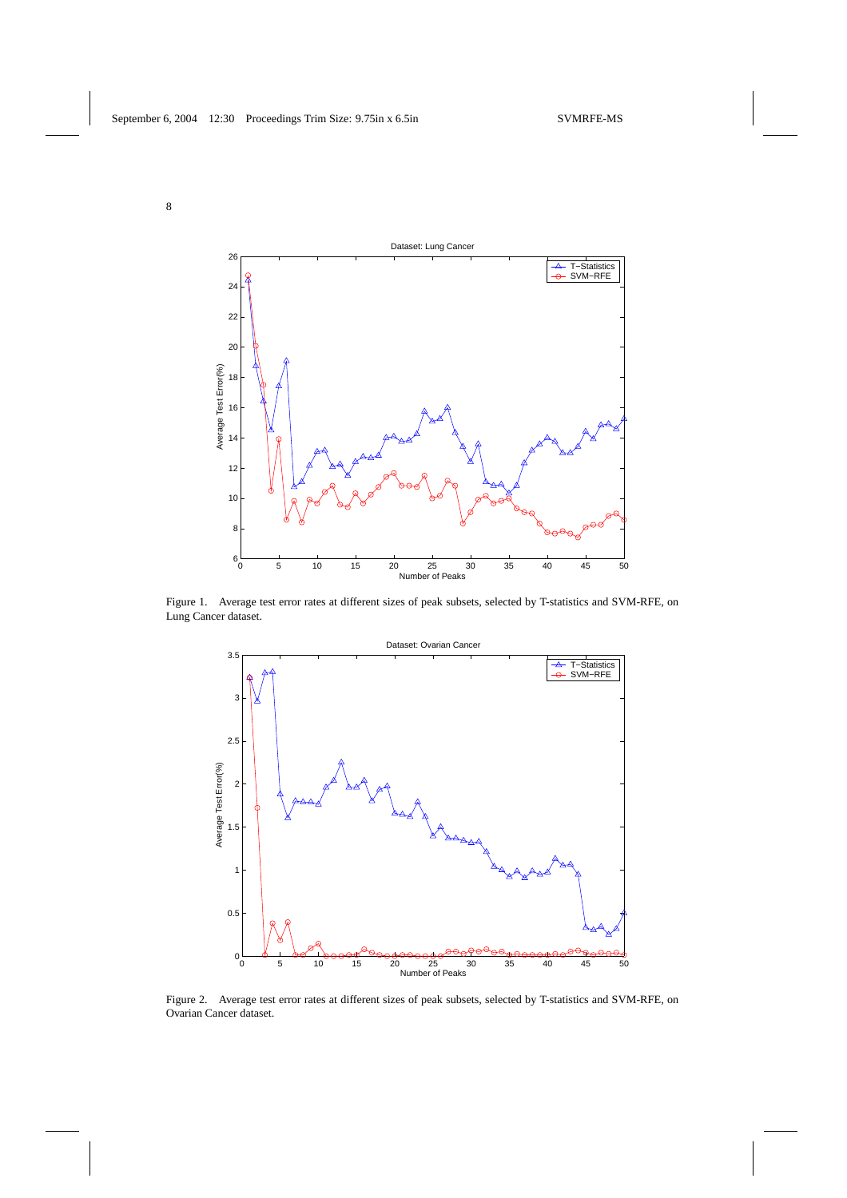

Figure 1. Average test error rates at different sizes of peak subsets, selected by T-statistics and SVM-RFE, on Lung Cancer dataset.



Figure 2. Average test error rates at different sizes of peak subsets, selected by T-statistics and SVM-RFE, on Ovarian Cancer dataset.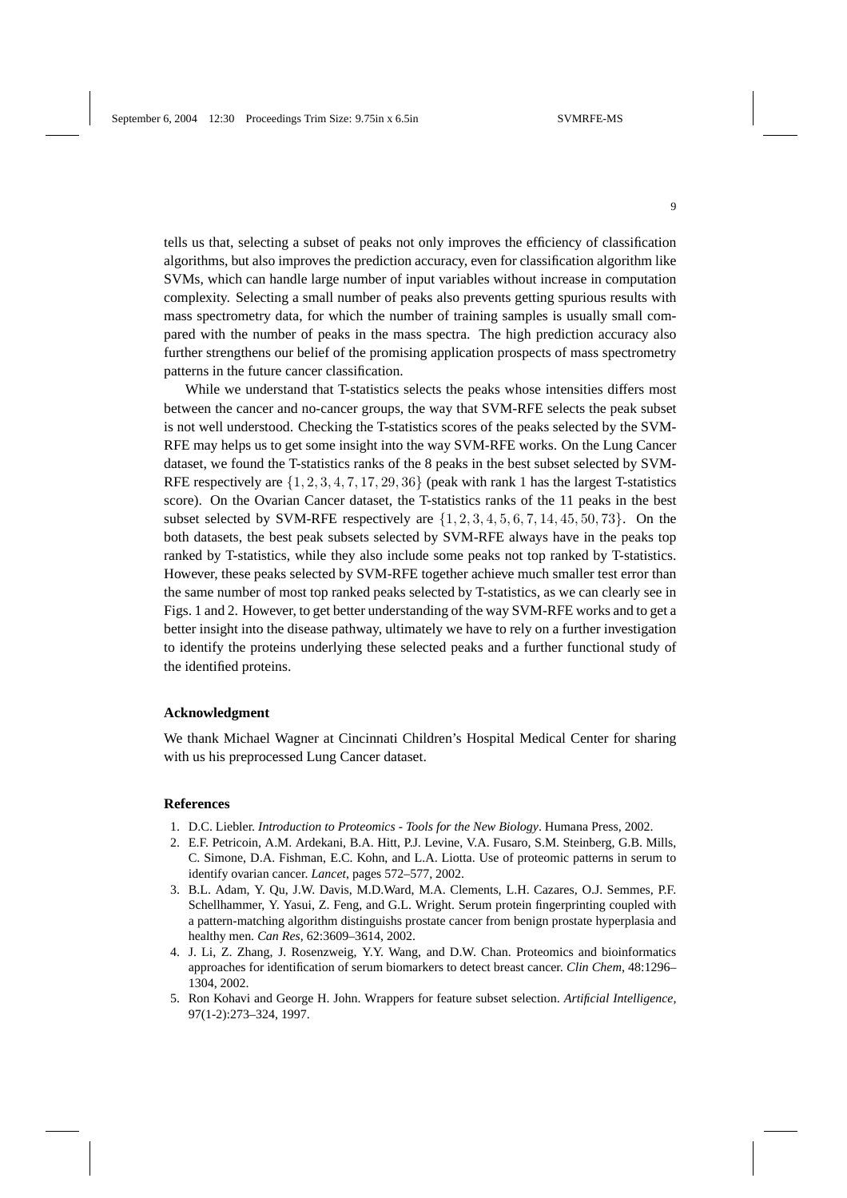tells us that, selecting a subset of peaks not only improves the efficiency of classification algorithms, but also improves the prediction accuracy, even for classification algorithm like SVMs, which can handle large number of input variables without increase in computation complexity. Selecting a small number of peaks also prevents getting spurious results with mass spectrometry data, for which the number of training samples is usually small compared with the number of peaks in the mass spectra. The high prediction accuracy also further strengthens our belief of the promising application prospects of mass spectrometry patterns in the future cancer classification.

While we understand that T-statistics selects the peaks whose intensities differs most between the cancer and no-cancer groups, the way that SVM-RFE selects the peak subset is not well understood. Checking the T-statistics scores of the peaks selected by the SVM-RFE may helps us to get some insight into the way SVM-RFE works. On the Lung Cancer dataset, we found the T-statistics ranks of the 8 peaks in the best subset selected by SVM-RFE respectively are  $\{1, 2, 3, 4, 7, 17, 29, 36\}$  (peak with rank 1 has the largest T-statistics score). On the Ovarian Cancer dataset, the T-statistics ranks of the 11 peaks in the best subset selected by SVM-RFE respectively are  $\{1, 2, 3, 4, 5, 6, 7, 14, 45, 50, 73\}$ . On the both datasets, the best peak subsets selected by SVM-RFE always have in the peaks top ranked by T-statistics, while they also include some peaks not top ranked by T-statistics. However, these peaks selected by SVM-RFE together achieve much smaller test error than the same number of most top ranked peaks selected by T-statistics, as we can clearly see in Figs. 1 and 2. However, to get better understanding of the way SVM-RFE works and to get a better insight into the disease pathway, ultimately we have to rely on a further investigation to identify the proteins underlying these selected peaks and a further functional study of the identified proteins.

#### **Acknowledgment**

We thank Michael Wagner at Cincinnati Children's Hospital Medical Center for sharing with us his preprocessed Lung Cancer dataset.

## **References**

- 1. D.C. Liebler. *Introduction to Proteomics Tools for the New Biology*. Humana Press, 2002.
- 2. E.F. Petricoin, A.M. Ardekani, B.A. Hitt, P.J. Levine, V.A. Fusaro, S.M. Steinberg, G.B. Mills, C. Simone, D.A. Fishman, E.C. Kohn, and L.A. Liotta. Use of proteomic patterns in serum to identify ovarian cancer. *Lancet*, pages 572–577, 2002.
- 3. B.L. Adam, Y. Qu, J.W. Davis, M.D.Ward, M.A. Clements, L.H. Cazares, O.J. Semmes, P.F. Schellhammer, Y. Yasui, Z. Feng, and G.L. Wright. Serum protein fingerprinting coupled with a pattern-matching algorithm distinguishs prostate cancer from benign prostate hyperplasia and healthy men. *Can Res*, 62:3609–3614, 2002.
- 4. J. Li, Z. Zhang, J. Rosenzweig, Y.Y. Wang, and D.W. Chan. Proteomics and bioinformatics approaches for identification of serum biomarkers to detect breast cancer. *Clin Chem*, 48:1296– 1304, 2002.
- 5. Ron Kohavi and George H. John. Wrappers for feature subset selection. *Artificial Intelligence*, 97(1-2):273–324, 1997.